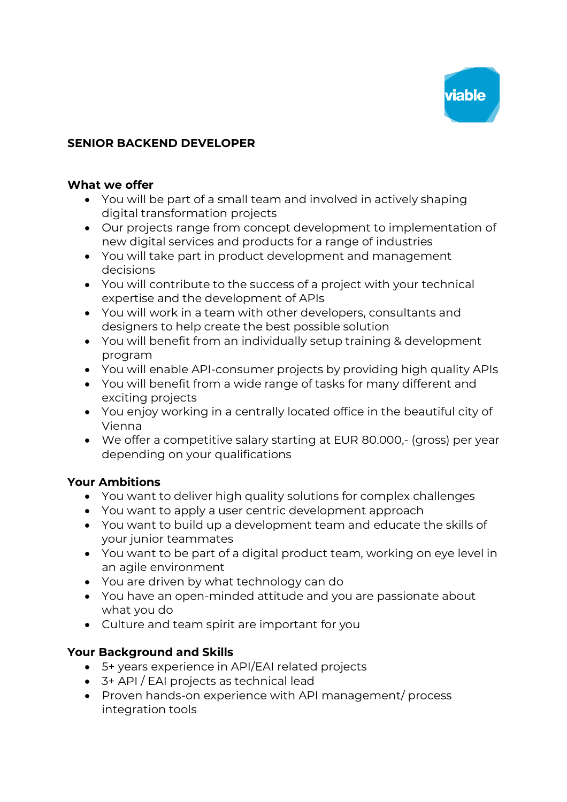

# **SENIOR BACKEND DEVELOPER**

#### **What we offer**

- You will be part of a small team and involved in actively shaping digital transformation projects
- Our projects range from concept development to implementation of new digital services and products for a range of industries
- You will take part in product development and management decisions
- You will contribute to the success of a project with your technical expertise and the development of APIs
- You will work in a team with other developers, consultants and designers to help create the best possible solution
- You will benefit from an individually setup training & development program
- You will enable API-consumer projects by providing high quality APIs
- You will benefit from a wide range of tasks for many different and exciting projects
- You enjoy working in a centrally located office in the beautiful city of Vienna
- We offer a competitive salary starting at EUR 80.000,- (gross) per year depending on your qualifications

### **Your Ambitions**

- You want to deliver high quality solutions for complex challenges
- You want to apply a user centric development approach
- You want to build up a development team and educate the skills of your junior teammates
- You want to be part of a digital product team, working on eye level in an agile environment
- You are driven by what technology can do
- You have an open-minded attitude and you are passionate about what you do
- Culture and team spirit are important for you

### **Your Background and Skills**

- 5+ years experience in API/EAI related projects
- 3+ API / EAI projects as technical lead
- Proven hands-on experience with API management/ process integration tools